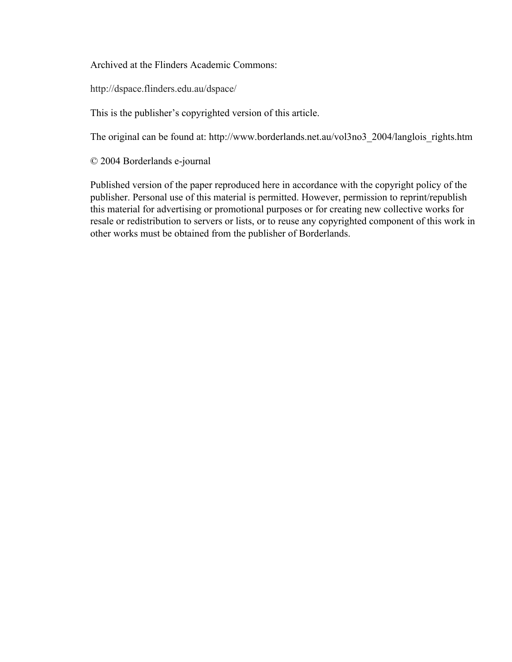Archived at the Flinders Academic Commons:

http://dspace.flinders.edu.au/dspace/

This is the publisher's copyrighted version of this article.

The original can be found at: http://www.borderlands.net.au/vol3no3\_2004/langlois\_rights.htm

© 2004 Borderlands e-journal

Published version of the paper reproduced here in accordance with the copyright policy of the publisher. Personal use of this material is permitted. However, permission to reprint/republish this material for advertising or promotional purposes or for creating new collective works for resale or redistribution to servers or lists, or to reuse any copyrighted component of this work in other works must be obtained from the publisher of Borderlands.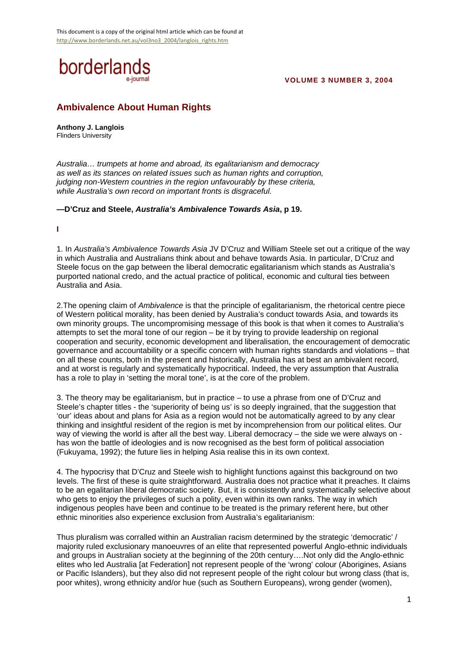

### **VOLUME 3 NUMBER 3, 2004**

# **Ambivalence About Human Rights**

**Anthony J. Langlois** Flinders University

*Australia… trumpets at home and abroad, its egalitarianism and democracy as well as its stances on related issues such as human rights and corruption, judging non-Western countries in the region unfavourably by these criteria, while Australia's own record on important fronts is disgraceful.*

**—D'Cruz and Steele,** *Australia's Ambivalence Towards Asia***, p 19.**

#### **I**

1. In *Australia's Ambivalence Towards Asia* JV D'Cruz and William Steele set out a critique of the way in which Australia and Australians think about and behave towards Asia. In particular, D'Cruz and Steele focus on the gap between the liberal democratic egalitarianism which stands as Australia's purported national credo, and the actual practice of political, economic and cultural ties between Australia and Asia.

2.The opening claim of *Ambivalence* is that the principle of egalitarianism, the rhetorical centre piece of Western political morality, has been denied by Australia's conduct towards Asia, and towards its own minority groups. The uncompromising message of this book is that when it comes to Australia's attempts to set the moral tone of our region – be it by trying to provide leadership on regional cooperation and security, economic development and liberalisation, the encouragement of democratic governance and accountability or a specific concern with human rights standards and violations – that on all these counts, both in the present and historically, Australia has at best an ambivalent record, and at worst is regularly and systematically hypocritical. Indeed, the very assumption that Australia has a role to play in 'setting the moral tone', is at the core of the problem.

3. The theory may be egalitarianism, but in practice – to use a phrase from one of D'Cruz and Steele's chapter titles - the 'superiority of being us' is so deeply ingrained, that the suggestion that 'our' ideas about and plans for Asia as a region would not be automatically agreed to by any clear thinking and insightful resident of the region is met by incomprehension from our political elites. Our way of viewing the world is after all the best way. Liberal democracy – the side we were always on has won the battle of ideologies and is now recognised as the best form of political association (Fukuyama, 1992); the future lies in helping Asia realise this in its own context.

4. The hypocrisy that D'Cruz and Steele wish to highlight functions against this background on two levels. The first of these is quite straightforward. Australia does not practice what it preaches. It claims to be an egalitarian liberal democratic society. But, it is consistently and systematically selective about who gets to enjoy the privileges of such a polity, even within its own ranks. The way in which indigenous peoples have been and continue to be treated is the primary referent here, but other ethnic minorities also experience exclusion from Australia's egalitarianism:

Thus pluralism was corralled within an Australian racism determined by the strategic 'democratic' / majority ruled exclusionary manoeuvres of an elite that represented powerful Anglo-ethnic individuals and groups in Australian society at the beginning of the 20th century….Not only did the Anglo-ethnic elites who led Australia [at Federation] not represent people of the 'wrong' colour (Aborigines, Asians or Pacific Islanders), but they also did not represent people of the right colour but wrong class (that is, poor whites), wrong ethnicity and/or hue (such as Southern Europeans), wrong gender (women),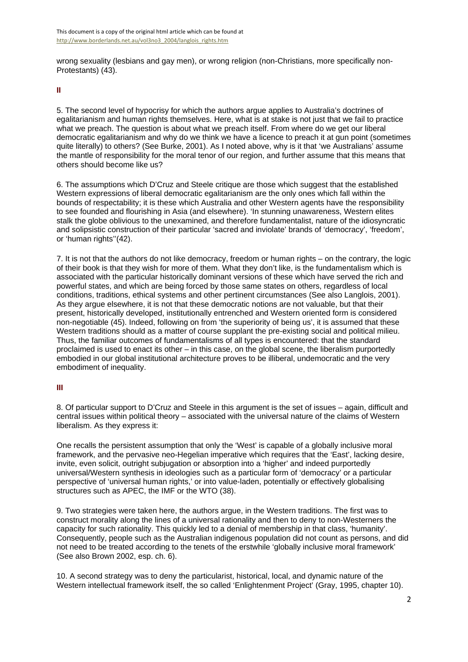wrong sexuality (lesbians and gay men), or wrong religion (non-Christians, more specifically non-Protestants) (43).

### **II**

5. The second level of hypocrisy for which the authors argue applies to Australia's doctrines of egalitarianism and human rights themselves. Here, what is at stake is not just that we fail to practice what we preach. The question is about what we preach itself. From where do we get our liberal democratic egalitarianism and why do we think we have a licence to preach it at gun point (sometimes quite literally) to others? (See Burke, 2001). As I noted above, why is it that 'we Australians' assume the mantle of responsibility for the moral tenor of our region, and further assume that this means that others should become like us?

6. The assumptions which D'Cruz and Steele critique are those which suggest that the established Western expressions of liberal democratic egalitarianism are the only ones which fall within the bounds of respectability; it is these which Australia and other Western agents have the responsibility to see founded and flourishing in Asia (and elsewhere). 'In stunning unawareness, Western elites stalk the globe oblivious to the unexamined, and therefore fundamentalist, nature of the idiosyncratic and solipsistic construction of their particular 'sacred and inviolate' brands of 'democracy', 'freedom', or 'human rights''(42).

7. It is not that the authors do not like democracy, freedom or human rights – on the contrary, the logic of their book is that they wish for more of them. What they don't like, is the fundamentalism which is associated with the particular historically dominant versions of these which have served the rich and powerful states, and which are being forced by those same states on others, regardless of local conditions, traditions, ethical systems and other pertinent circumstances (See also Langlois, 2001). As they argue elsewhere, it is not that these democratic notions are not valuable, but that their present, historically developed, institutionally entrenched and Western oriented form is considered non-negotiable (45). Indeed, following on from 'the superiority of being us', it is assumed that these Western traditions should as a matter of course supplant the pre-existing social and political milieu. Thus, the familiar outcomes of fundamentalisms of all types is encountered: that the standard proclaimed is used to enact its other – in this case, on the global scene, the liberalism purportedly embodied in our global institutional architecture proves to be illiberal, undemocratic and the very embodiment of inequality.

# **III**

8. Of particular support to D'Cruz and Steele in this argument is the set of issues – again, difficult and central issues within political theory – associated with the universal nature of the claims of Western liberalism. As they express it:

One recalls the persistent assumption that only the 'West' is capable of a globally inclusive moral framework, and the pervasive neo-Hegelian imperative which requires that the 'East', lacking desire, invite, even solicit, outright subjugation or absorption into a 'higher' and indeed purportedly universal/Western synthesis in ideologies such as a particular form of 'democracy' or a particular perspective of 'universal human rights,' or into value-laden, potentially or effectively globalising structures such as APEC, the IMF or the WTO (38).

9. Two strategies were taken here, the authors argue, in the Western traditions. The first was to construct morality along the lines of a universal rationality and then to deny to non-Westerners the capacity for such rationality. This quickly led to a denial of membership in that class, 'humanity'. Consequently, people such as the Australian indigenous population did not count as persons, and did not need to be treated according to the tenets of the erstwhile 'globally inclusive moral framework' (See also Brown 2002, esp. ch. 6).

10. A second strategy was to deny the particularist, historical, local, and dynamic nature of the Western intellectual framework itself, the so called 'Enlightenment Project' (Gray, 1995, chapter 10).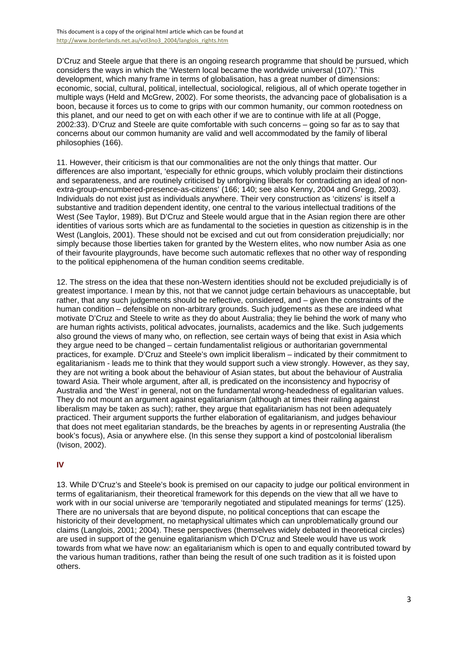D'Cruz and Steele argue that there is an ongoing research programme that should be pursued, which considers the ways in which the 'Western local became the worldwide universal (107).' This development, which many frame in terms of globalisation, has a great number of dimensions: economic, social, cultural, political, intellectual, sociological, religious, all of which operate together in multiple ways (Held and McGrew, 2002). For some theorists, the advancing pace of globalisation is a boon, because it forces us to come to grips with our common humanity, our common rootedness on this planet, and our need to get on with each other if we are to continue with life at all (Pogge, 2002:33). D'Cruz and Steele are quite comfortable with such concerns – going so far as to say that concerns about our common humanity are valid and well accommodated by the family of liberal philosophies (166).

11. However, their criticism is that our commonalities are not the only things that matter. Our differences are also important, 'especially for ethnic groups, which volubly proclaim their distinctions and separateness, and are routinely criticised by unforgiving liberals for contradicting an ideal of nonextra-group-encumbered-presence-as-citizens' (166; 140; see also Kenny, 2004 and Gregg, 2003). Individuals do not exist just as individuals anywhere. Their very construction as 'citizens' is itself a substantive and tradition dependent identity, one central to the various intellectual traditions of the West (See Taylor, 1989). But D'Cruz and Steele would argue that in the Asian region there are other identities of various sorts which are as fundamental to the societies in question as citizenship is in the West (Langlois, 2001). These should not be excised and cut out from consideration prejudicially; nor simply because those liberties taken for granted by the Western elites, who now number Asia as one of their favourite playgrounds, have become such automatic reflexes that no other way of responding to the political epiphenomena of the human condition seems creditable.

12. The stress on the idea that these non-Western identities should not be excluded prejudicially is of greatest importance. I mean by this, not that we cannot judge certain behaviours as unacceptable, but rather, that any such judgements should be reflective, considered, and – given the constraints of the human condition – defensible on non-arbitrary grounds. Such judgements as these are indeed what motivate D'Cruz and Steele to write as they do about Australia; they lie behind the work of many who are human rights activists, political advocates, journalists, academics and the like. Such judgements also ground the views of many who, on reflection, see certain ways of being that exist in Asia which they argue need to be changed – certain fundamentalist religious or authoritarian governmental practices, for example. D'Cruz and Steele's own implicit liberalism – indicated by their commitment to egalitarianism - leads me to think that they would support such a view strongly. However, as they say, they are not writing a book about the behaviour of Asian states, but about the behaviour of Australia toward Asia. Their whole argument, after all, is predicated on the inconsistency and hypocrisy of Australia and 'the West' in general, not on the fundamental wrong-headedness of egalitarian values. They do not mount an argument against egalitarianism (although at times their railing against liberalism may be taken as such); rather, they argue that egalitarianism has not been adequately practiced. Their argument supports the further elaboration of egalitarianism, and judges behaviour that does not meet egalitarian standards, be the breaches by agents in or representing Australia (the book's focus), Asia or anywhere else. (In this sense they support a kind of postcolonial liberalism (Ivison, 2002).

### **IV**

13. While D'Cruz's and Steele's book is premised on our capacity to judge our political environment in terms of egalitarianism, their theoretical framework for this depends on the view that all we have to work with in our social universe are 'temporarily negotiated and stipulated meanings for terms' (125). There are no universals that are beyond dispute, no political conceptions that can escape the historicity of their development, no metaphysical ultimates which can unproblematically ground our claims (Langlois, 2001; 2004). These perspectives (themselves widely debated in theoretical circles) are used in support of the genuine egalitarianism which D'Cruz and Steele would have us work towards from what we have now: an egalitarianism which is open to and equally contributed toward by the various human traditions, rather than being the result of one such tradition as it is foisted upon others.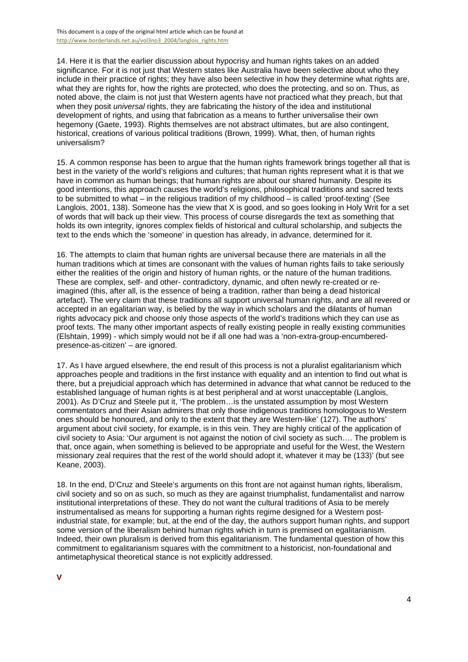14. Here it is that the earlier discussion about hypocrisy and human rights takes on an added significance. For it is not just that Western states like Australia have been selective about who they include in their practice of rights; they have also been selective in how they determine what rights are, what they are rights for, how the rights are protected, who does the protecting, and so on. Thus, as noted above, the claim is not just that Western agents have not practiced what they preach, but that when they posit *universal* rights, they are fabricating the history of the idea and institutional development of rights, and using that fabrication as a means to further universalise their own hegemony (Gaete, 1993). Rights themselves are not abstract ultimates, but are also contingent, historical, creations of various political traditions (Brown, 1999). What, then, of human rights universalism?

15. A common response has been to argue that the human rights framework brings together all that is best in the variety of the world's religions and cultures; that human rights represent what it is that we have in common as human beings; that human rights are about our shared humanity. Despite its good intentions, this approach causes the world's religions, philosophical traditions and sacred texts to be submitted to what – in the religious tradition of my childhood – is called 'proof-texting' (See Langlois, 2001, 138). Someone has the view that X is good, and so goes looking in Holy Writ for a set of words that will back up their view. This process of course disregards the text as something that holds its own integrity, ignores complex fields of historical and cultural scholarship, and subjects the text to the ends which the 'someone' in question has already, in advance, determined for it.

16. The attempts to claim that human rights are universal because there are materials in all the human traditions which at times are consonant with the values of human rights fails to take seriously either the realities of the origin and history of human rights, or the nature of the human traditions. These are complex, self- and other- contradictory, dynamic, and often newly re-created or reimagined (this, after all, is the essence of being a tradition, rather than being a dead historical artefact). The very claim that these traditions all support universal human rights, and are all revered or accepted in an egalitarian way, is belied by the way in which scholars and the dilatants of human rights advocacy pick and choose only those aspects of the world's traditions which they can use as proof texts. The many other important aspects of really existing people in really existing communities (Elshtain, 1999) - which simply would not be if all one had was a 'non-extra-group-encumberedpresence-as-citizen' – are ignored.

17. As I have argued elsewhere, the end result of this process is not a pluralist egalitarianism which approaches people and traditions in the first instance with equality and an intention to find out what is there, but a prejudicial approach which has determined in advance that what cannot be reduced to the established language of human rights is at best peripheral and at worst unacceptable (Langlois, 2001). As D'Cruz and Steele put it, 'The problem…is the unstated assumption by most Western commentators and their Asian admirers that only those indigenous traditions homologous to Western ones should be honoured, and only to the extent that they are Western-like' (127). The authors' argument about civil society, for example, is in this vein. They are highly critical of the application of civil society to Asia: 'Our argument is not against the notion of civil society as such…. The problem is that, once again, when something is believed to be appropriate and useful for the West, the Western missionary zeal requires that the rest of the world should adopt it, whatever it may be (133)' (but see Keane, 2003).

18. In the end, D'Cruz and Steele's arguments on this front are not against human rights, liberalism, civil society and so on as such, so much as they are against triumphalist, fundamentalist and narrow institutional interpretations of these. They do not want the cultural traditions of Asia to be merely instrumentalised as means for supporting a human rights regime designed for a Western postindustrial state, for example; but, at the end of the day, the authors support human rights, and support some version of the liberalism behind human rights which in turn is premised on egalitarianism. Indeed, their own pluralism is derived from this egalitarianism. The fundamental question of how this commitment to egalitarianism squares with the commitment to a historicist, non-foundational and antimetaphysical theoretical stance is not explicitly addressed.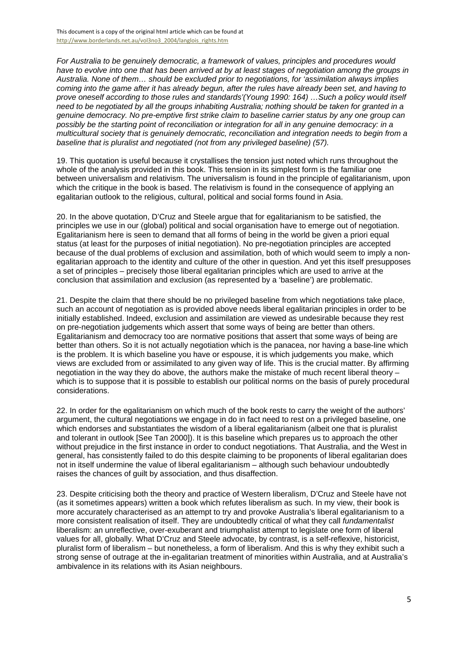This document is a copy of the original html article which can be found at http://www.borderlands.net.au/vol3no3\_2004/langlois\_rights.htm

*For Australia to be genuinely democratic, a framework of values, principles and procedures would have to evolve into one that has been arrived at by at least stages of negotiation among the groups in Australia. None of them… should be excluded prior to negotiations, for 'assimilation always implies coming into the game after it has already begun, after the rules have already been set, and having to prove oneself according to those rules and standards'(Young 1990: 164) …Such a policy would itself need to be negotiated by all the groups inhabiting Australia; nothing should be taken for granted in a genuine democracy. No pre-emptive first strike claim to baseline carrier status by any one group can possibly be the starting point of reconciliation or integration for all in any genuine democracy: in a multicultural society that is genuinely democratic, reconciliation and integration needs to begin from a baseline that is pluralist and negotiated (not from any privileged baseline) (57).*

19. This quotation is useful because it crystallises the tension just noted which runs throughout the whole of the analysis provided in this book. This tension in its simplest form is the familiar one between universalism and relativism. The universalism is found in the principle of egalitarianism, upon which the critique in the book is based. The relativism is found in the consequence of applying an egalitarian outlook to the religious, cultural, political and social forms found in Asia.

20. In the above quotation, D'Cruz and Steele argue that for egalitarianism to be satisfied, the principles we use in our (global) political and social organisation have to emerge out of negotiation. Egalitarianism here is seen to demand that all forms of being in the world be given a priori equal status (at least for the purposes of initial negotiation). No pre-negotiation principles are accepted because of the dual problems of exclusion and assimilation, both of which would seem to imply a nonegalitarian approach to the identity and culture of the other in question. And yet this itself presupposes a set of principles – precisely those liberal egalitarian principles which are used to arrive at the conclusion that assimilation and exclusion (as represented by a 'baseline') are problematic.

21. Despite the claim that there should be no privileged baseline from which negotiations take place, such an account of negotiation as is provided above needs liberal egalitarian principles in order to be initially established. Indeed, exclusion and assimilation are viewed as undesirable because they rest on pre-negotiation judgements which assert that some ways of being are better than others. Egalitarianism and democracy too are normative positions that assert that some ways of being are better than others. So it is not actually negotiation which is the panacea, nor having a base-line which is the problem. It is which baseline you have or espouse, it is which judgements you make, which views are excluded from or assimilated to any given way of life. This is the crucial matter. By affirming negotiation in the way they do above, the authors make the mistake of much recent liberal theory – which is to suppose that it is possible to establish our political norms on the basis of purely procedural considerations.

22. In order for the egalitarianism on which much of the book rests to carry the weight of the authors' argument, the cultural negotiations we engage in do in fact need to rest on a privileged baseline, one which endorses and substantiates the wisdom of a liberal egalitarianism (albeit one that is pluralist and tolerant in outlook [See Tan 2000]). It is this baseline which prepares us to approach the other without prejudice in the first instance in order to conduct negotiations. That Australia, and the West in general, has consistently failed to do this despite claiming to be proponents of liberal egalitarian does not in itself undermine the value of liberal egalitarianism – although such behaviour undoubtedly raises the chances of guilt by association, and thus disaffection.

23. Despite criticising both the theory and practice of Western liberalism, D'Cruz and Steele have not (as it sometimes appears) written a book which refutes liberalism as such. In my view, their book is more accurately characterised as an attempt to try and provoke Australia's liberal egalitarianism to a more consistent realisation of itself. They are undoubtedly critical of what they call *fundamentalist* liberalism: an unreflective, over-exuberant and triumphalist attempt to legislate one form of liberal values for all, globally. What D'Cruz and Steele advocate, by contrast, is a self-reflexive, historicist, pluralist form of liberalism – but nonetheless, a form of liberalism. And this is why they exhibit such a strong sense of outrage at the in-egalitarian treatment of minorities within Australia, and at Australia's ambivalence in its relations with its Asian neighbours.